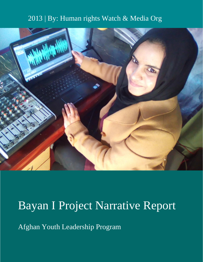# 2013 | By: Human rights Watch & Media Org



# Bayan I Project Narrative Report

Afghan Youth Leadership Program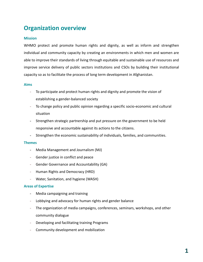# **Organization overview**

#### **Mission**

WHMO protect and promote human rights and dignity, as well as inform and strengthen individual and community capacity by creating an environments in which men and women are able to improve their standards of living through equitable and sustainable use of resources and improve service delivery of public sectors institutions and CSOs by building their institutional capacity so as to facilitate the process of long term development in Afghanistan.

#### **Aims**

- To participate and protect human rights and dignity and promote the vision of establishing a gender-balanced society
- To change policy and public opinion regarding a specific socio-economic and cultural situation
- Strengthen strategic partnership and put pressure on the government to be held responsive and accountable against its actions to the citizens.
- Strengthen the economic sustainability of individuals, families, and communities.

#### **Themes**

- Media Management and Journalism (MJ)
- Gender justice in conflict and peace
- Gender Governance and Accountability (GA)
- Human Rights and Democracy (HRD)
- Water, Sanitation, and hygiene (WASH)

#### **Areas of Expertise**

- Media campaigning and training
- Lobbying and advocacy for human rights and gender balance
- The organization of media campaigns, conferences, seminars, workshops, and other community dialogue
- Developing and facilitating training Programs
- Community development and mobilization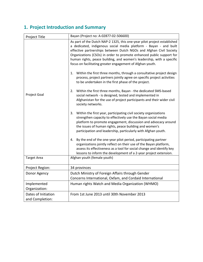# **1. Project Introduction and Summary**

| Project Title                          | Bayan (Project no: A-02877-02-506600)                                                                                                                                                                                                                                                                                                                                                                                                                                                                                                                                                                                                                                                                                                                                                                                                                                                                                                                                                                                                                                                                                                                                                                                                                                                                                                                                                                                                           |
|----------------------------------------|-------------------------------------------------------------------------------------------------------------------------------------------------------------------------------------------------------------------------------------------------------------------------------------------------------------------------------------------------------------------------------------------------------------------------------------------------------------------------------------------------------------------------------------------------------------------------------------------------------------------------------------------------------------------------------------------------------------------------------------------------------------------------------------------------------------------------------------------------------------------------------------------------------------------------------------------------------------------------------------------------------------------------------------------------------------------------------------------------------------------------------------------------------------------------------------------------------------------------------------------------------------------------------------------------------------------------------------------------------------------------------------------------------------------------------------------------|
| Project Goal                           | As part of the Dutch NAP-2 1325, this one-year pilot project established<br>a dedicated, indigenous social media platform - Bayan - and built<br>effective partnerships between Dutch NGOs and Afghan Civil Society<br>Organizations (CSOs) in order to promote enhanced public support for<br>human rights, peace building, and women's leadership, with a specific<br>focus on facilitating greater engagement of Afghan youth.<br>Within the first three months, through a consultative project design<br>1.<br>process, project partners jointly agree on specific project activities<br>to be undertaken in the first phase of the project.<br>Within the first three months, Bayan - the dedicated SMS-based<br>2.<br>social network - is designed, tested and implemented in<br>Afghanistan for the use of project participants and their wider civil<br>society networks.<br>Within the first year, participating civil society organizations<br>3.<br>strengthen capacity to effectively use the Bayan social media<br>platform to promote engagement, discussion and advocacy around<br>the issues of human rights, peace building and women's<br>participation and leadership, particularly with Afghan youth.<br>By the end of the one-year pilot period, participating partner<br>4.<br>organizations jointly reflect on their use of the Bayan platform,<br>assess its effectiveness as a tool for social change and identify key |
| <b>Target Area</b>                     | lessons to inform the development of a 2-year project extension.<br>Afghan youth (female youth)                                                                                                                                                                                                                                                                                                                                                                                                                                                                                                                                                                                                                                                                                                                                                                                                                                                                                                                                                                                                                                                                                                                                                                                                                                                                                                                                                 |
|                                        |                                                                                                                                                                                                                                                                                                                                                                                                                                                                                                                                                                                                                                                                                                                                                                                                                                                                                                                                                                                                                                                                                                                                                                                                                                                                                                                                                                                                                                                 |
| Project Region:                        | 34 provinces                                                                                                                                                                                                                                                                                                                                                                                                                                                                                                                                                                                                                                                                                                                                                                                                                                                                                                                                                                                                                                                                                                                                                                                                                                                                                                                                                                                                                                    |
| Donor Agency                           | Dutch Ministry of Foreign Affairs through Gender<br>Concerns International, Oxfam, and Cordaid International                                                                                                                                                                                                                                                                                                                                                                                                                                                                                                                                                                                                                                                                                                                                                                                                                                                                                                                                                                                                                                                                                                                                                                                                                                                                                                                                    |
| Implemented<br>Organization:           | Human rights Watch and Media Organization (WHMO)                                                                                                                                                                                                                                                                                                                                                                                                                                                                                                                                                                                                                                                                                                                                                                                                                                                                                                                                                                                                                                                                                                                                                                                                                                                                                                                                                                                                |
| Dates of Initiation<br>and Completion: | From 1st June 2013 until 30th November 2013                                                                                                                                                                                                                                                                                                                                                                                                                                                                                                                                                                                                                                                                                                                                                                                                                                                                                                                                                                                                                                                                                                                                                                                                                                                                                                                                                                                                     |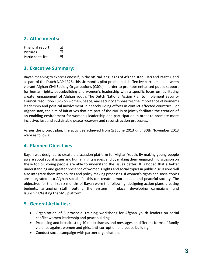## **2. Attachments:**

| Financial report  | ⊠ |
|-------------------|---|
| <b>Pictures</b>   | ⊠ |
| Participants list | 罓 |

## **3. Executive Summary:**

Bayan meaning to express oneself, in the official languages of Afghanistan, Dari and Pashtu, and as part of the Dutch NAP 1325, this six months pilot project build effective partnership between vibrant Afghan Civil Society Organizations (CSOs) in order to promote enhanced public support for human rights, peacebuilding and women's leadership with a specific focus on facilitating greater engagement of Afghan youth. The Dutch National Action Plan to implement Security Council Resolution 1325 on women, peace, and security emphasizesthe importance of women's leadership and political involvement in peacebuilding efforts in conflict-affected countries. For Afghanistan, the aim of initiatives that are part of the NAP is to jointly facilitate the creation of an enabling environment for women's leadership and participation in order to promote more inclusive, just and sustainable peace recovery and reconstruction processes.

As per the project plan, the activities achieved from 1st June 2013 until 30th November 2013 were as follows:

## **4. Planned Objectives**

Bayan was designed to create a discussion platform for Afghan Youth. By making young people aware about social issues and human rights issues, and by making them engaged in discussion on these topics, young people are able to understand the issues better. It is hoped that a better understanding and greater presence of women's rights and social topics in public discussions will also integrate them into politics and policy-making processes. If women's rights and social topics are integrated into Afghan social life, this can create a more stable and peaceful society. The objectives for the first six months of Bayan were the following: designing action plans, creating budgets, arranging staff, putting the system in place, developing campaigns, and launching/testing the SMS platform.

## **5. General Activities:**

- Organization of 5 provincial training workshops for Afghan youth leaders on social conflict women leadership and peacebuilding.
- Producing and broadcasting 40 radio dramas and messages on different forms of family violence against women and girls, anti-corruption and peace building.
- Conduct social campaign with partner organizations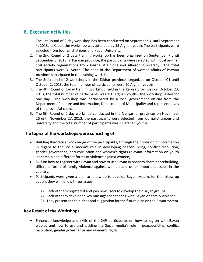## **6. Executed activities**

- 1. The 1st Round of 2-day workshop has been conducted on September 3, until September 4, 2013, in Kabul; the workshop was attended by 15 Afghan youth. The participants were selected from Journalist Unions and Kabul University.
- 2. The 2nd Round of 2 days training workshop has been organized on September 7 until September 8, 2013, in Parwan province, the participants were selected with local partner civil society organizations from Journalist Unions and Alberoni University. The total participants were 31 youth. The head of the Department of women affairs of Parwan province participated in the training workshop.
- 3. The 3rd round of 2 workshops in the Takhar provinces organized on October 01 until October 2, 2013, the total number of participants were 20 Afghan youths.
- 4. The 4th Round of 1-day training workshop held in the Kapisa provinces on October 23, 2013, the total number of participants was 150 Afghan youths, the workshop lasted for one day. The workshop was participated by a local government official from the Department of culture and Information, Department of Municipality and representatives of the provincial council.
- 5. The 5th Round of 2-day workshop conducted in the Nangarhar provinces on November 26 until November 27, 2013, the participants were selected from journalist unions and university and the total number of participants was 33 Afghan youths.

#### **The topics of the workshops were consisting of:**

- Building theoretical knowledge of the participants, through the provision of information in regard to the social media's role in developing peacebuilding, conflict resolution, gender governance, anti-corruption and women's rights relevant information on youth leadership and different forms of violence against women;
- Skill on how to register with Bayan and how to use Bayan in order to share peacebuilding, different forms of family violence against women and other important issues in the country.
- Participants were given a plan to follow up to develop Bayan system, for the follow-up action, they will follow three issues:
	- 1) Each of them registered and join new users to develop their Bayan groups.
	- 2) Each of them developed key massages for sharing with Bayan on family violence.
	- 3) They presented their ideas and suggestion for the future plan on the Bayan system.

#### **Key Result of the Workshops:**

• Enhanced knowledge and skills of the 249 participants on how to log on with Bayan weblog and how to use and tackling the Social media's role in peacebuilding, conflict resolution, gender governance and women's rights.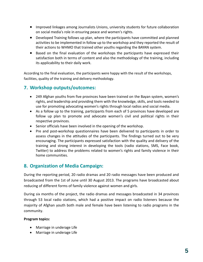- Improved linkages among Journalists Unions, university students for future collaboration on social media's role in ensuring peace and women's rights.
- Developed Training follows up plan, where the participants have committed and planned activities to be implemented in follow up to the workshop and they reported the result of their actions to WHMO that trained other youths regarding the BAYAN system.
- Based on the final evaluation of the workshops the participants have expressed their satisfaction both in terms of content and also the methodology of the training, including its applicability to their daily work.

According to the final evaluation, the participants were happy with the result of the workshops, facilities, quality of the training and delivery methodology.

## **7. Workshop outputs/outcomes:**

- 249 Afghan youths from five provinces have been trained on the Bayan system, women's rights, and leadership and providing them with the knowledge, skills, and tools needed to use for promoting advocating women's rights through local radios and social media.
- As a follow up to the training, participants from each of 5 provinces have developed are follow up plan to promote and advocate women's civil and political rights in their respective provinces.
- Senior officials have been involved in the opening of the workshop.
- Pre and post-workshop questionnaires have been delivered to participants in order to assess changes in the attitudes of the participants. The findings turned out to be very encouraging. The participants expressed satisfaction with the quality and delivery of the training and strong interest in developing the tools (radio stations, SMS, Face book, Twitter) to address the problems related to women's rights and family violence in their home communities.

## **8. Organization of Media Campaign:**

During the reporting period, 20 radio dramas and 20 radio messages have been produced and broadcasted from the 1st of June until 30 August 2013. The programs have broadcasted about reducing of different forms of family violence against women and girls.

During six months of the project, the radio dramas and messages broadcasted in 34 provinces through 53 local radio stations, which had a positive impact on radio listeners because the majority of Afghan youth both male and female have been listening to radio programs in the community.

#### **Program topics:**

- Marriage in underage Life
- Marriage in underage Life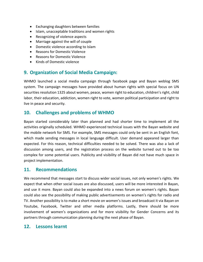- Exchanging daughters between families
- Islam, unacceptable traditions and women rights
- Recognizing of violence aspects
- Marriage against the will of couple
- Domestic violence according to Islam
- Reasons for Domestic Violence
- Reasons for Domestic Violence
- Kinds of Domestic violence

## **9. Organization of Social Media Campaign:**

WHMO launched a social media campaign through facebook page and Bayan weblog SMS system. The campaign messages have provided about human rights with special focus on UN securities resolution 1325 about women, peace, women right to education, children's right, child labor, their education, addiction, women right to vote, women political participation and right to live in peace and security.

#### **10. Challenges and problems of WHMO**

Bayan started considerably later than planned and had shorter time to implement all the activities originally scheduled. WHMO experienced technical issues with the Bayan website and the mobile network for SMS. For example, SMS messages could only be sent in an English font, which made sending messages in local language difficult. User demand appeared larger than expected. For this reason, technical difficulties needed to be solved. There was also a lack of discussion among users, and the registration process on the website turned out to be too complex for some potential users. Publicity and visibility of Bayan did not have much space in project implementation.

#### **11. Recommendations**

We recommend that messages start to discuss wider social issues, not only women's rights. We expect that when other social issues are also discussed, users will be more interested in Bayan, and use it more. Bayan could also be expanded into a news forum on women's rights. Bayan could also see the possibility of making public advertisements on women's rights for radio and TV. Another possibility is to make a short movie on women's issues and broadcast it via Bayan on Youtube, Facebook, Twitter and other media platforms. Lastly, there should be more involvement of women's organizations and for more visibility for Gender Concerns and its partners through communication planning during the next phase of Bayan.

#### **12. Lessons learnt**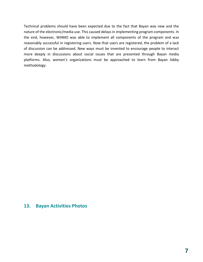Technical problems should have been expected due to the fact that Bayan was new and the nature of the electronic/media use. This caused delays in implementing program components. In the end, however, WHMO was able to implement all components of the program and was reasonably successful in registering users. Now that users are registered, the problem of a lack of discussion can be addressed. New ways must be invented to encourage people to interact more deeply in discussions about social issues that are presented through Bayan media platforms. Also, women's organizations must be approached to learn from Bayan lobby methodology.

#### **13. Bayan Activities Photos**